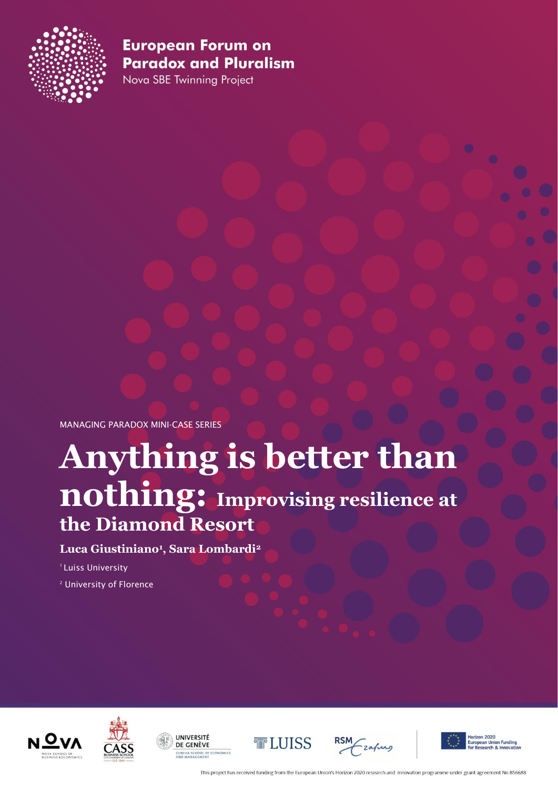

Nova SBE Twinning Project

MANAGING PARADOX MINI-CASE SERIES

# **Anything is better than nothing: Improvising resilience at the Diamond Resort**

#### **Luca Giustiniano1, Sara Lombardi2**

<sup>1</sup> Luiss University

<sup>2</sup> University of Florence













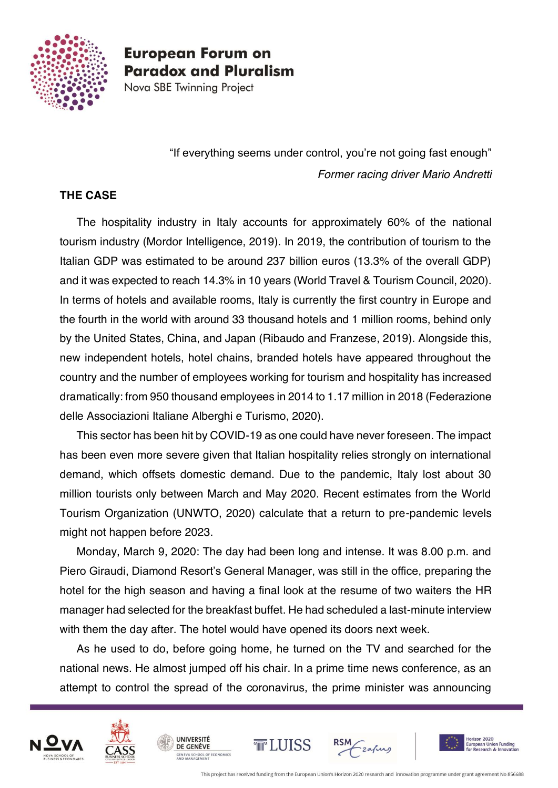

Nova SBE Twinning Project

"If everything seems under control, you're not going fast enough" *Former racing driver Mario Andretti*

#### **THE CASE**

The hospitality industry in Italy accounts for approximately 60% of the national tourism industry (Mordor Intelligence, 2019). In 2019, the contribution of tourism to the Italian GDP was estimated to be around 237 billion euros (13.3% of the overall GDP) and it was expected to reach 14.3% in 10 years (World Travel & Tourism Council, 2020). In terms of hotels and available rooms, Italy is currently the first country in Europe and the fourth in the world with around 33 thousand hotels and 1 million rooms, behind only by the United States, China, and Japan (Ribaudo and Franzese, 2019). Alongside this, new independent hotels, hotel chains, branded hotels have appeared throughout the country and the number of employees working for tourism and hospitality has increased dramatically: from 950 thousand employees in 2014 to 1.17 million in 2018 (Federazione delle Associazioni Italiane Alberghi e Turismo, 2020).

This sector has been hit by COVID-19 as one could have never foreseen. The impact has been even more severe given that Italian hospitality relies strongly on international demand, which offsets domestic demand. Due to the pandemic, Italy lost about 30 million tourists only between March and May 2020. Recent estimates from the World Tourism Organization (UNWTO, 2020) calculate that a return to pre-pandemic levels might not happen before 2023.

Monday, March 9, 2020: The day had been long and intense. It was 8.00 p.m. and Piero Giraudi, Diamond Resort's General Manager, was still in the office, preparing the hotel for the high season and having a final look at the resume of two waiters the HR manager had selected for the breakfast buffet. He had scheduled a last-minute interview with them the day after. The hotel would have opened its doors next week.

As he used to do, before going home, he turned on the TV and searched for the national news. He almost jumped off his chair. In a prime time news conference, as an attempt to control the spread of the coronavirus, the prime minister was announcing









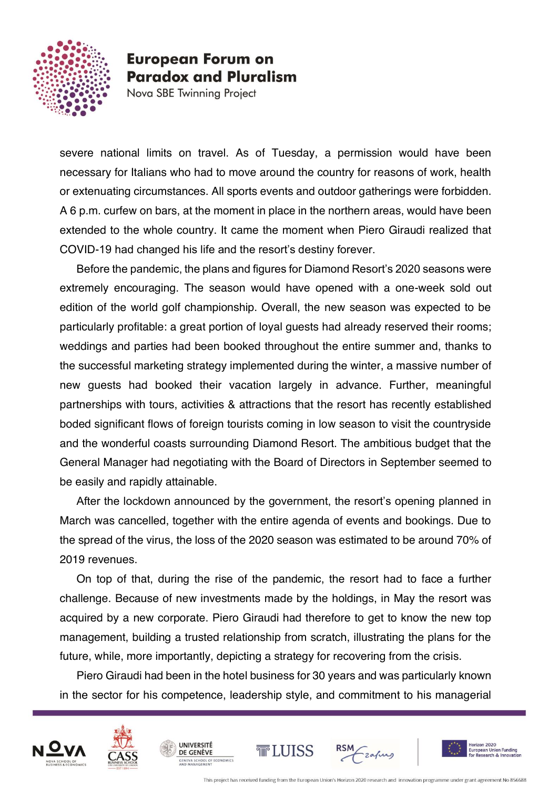

Nova SBE Twinning Project

severe national limits on travel. As of Tuesday, a permission would have been necessary for Italians who had to move around the country for reasons of work, health or extenuating circumstances. All sports events and outdoor gatherings were forbidden. A 6 p.m. curfew on bars, at the moment in place in the northern areas, would have been extended to the whole country. It came the moment when Piero Giraudi realized that COVID-19 had changed his life and the resort's destiny forever.

Before the pandemic, the plans and figures for Diamond Resort's 2020 seasons were extremely encouraging. The season would have opened with a one-week sold out edition of the world golf championship. Overall, the new season was expected to be particularly profitable: a great portion of loyal guests had already reserved their rooms; weddings and parties had been booked throughout the entire summer and, thanks to the successful marketing strategy implemented during the winter, a massive number of new guests had booked their vacation largely in advance. Further, meaningful partnerships with tours, activities & attractions that the resort has recently established boded significant flows of foreign tourists coming in low season to visit the countryside and the wonderful coasts surrounding Diamond Resort. The ambitious budget that the General Manager had negotiating with the Board of Directors in September seemed to be easily and rapidly attainable.

After the lockdown announced by the government, the resort's opening planned in March was cancelled, together with the entire agenda of events and bookings. Due to the spread of the virus, the loss of the 2020 season was estimated to be around 70% of 2019 revenues.

On top of that, during the rise of the pandemic, the resort had to face a further challenge. Because of new investments made by the holdings, in May the resort was acquired by a new corporate. Piero Giraudi had therefore to get to know the new top management, building a trusted relationship from scratch, illustrating the plans for the future, while, more importantly, depicting a strategy for recovering from the crisis.

Piero Giraudi had been in the hotel business for 30 years and was particularly known in the sector for his competence, leadership style, and commitment to his managerial





**UNIVERSITÉ** 

DE GENÈVE





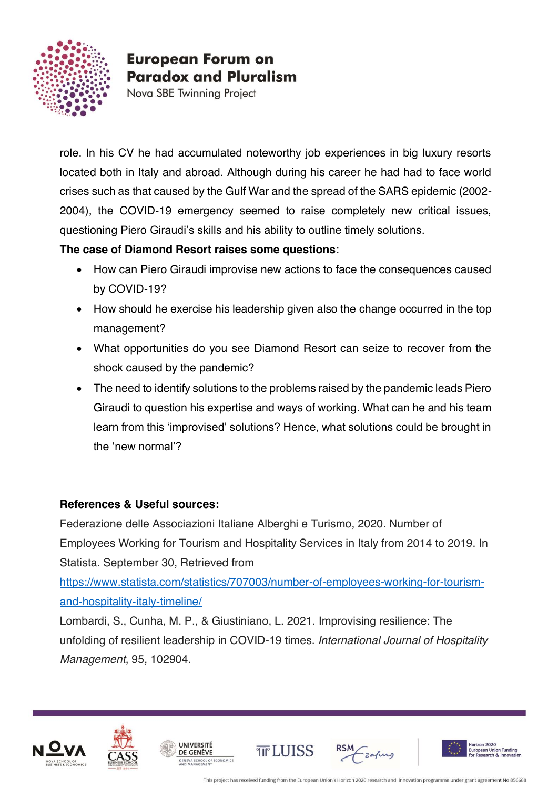

Nova SBE Twinning Project

role. In his CV he had accumulated noteworthy job experiences in big luxury resorts located both in Italy and abroad. Although during his career he had had to face world crises such as that caused by the Gulf War and the spread of the SARS epidemic (2002- 2004), the COVID-19 emergency seemed to raise completely new critical issues, questioning Piero Giraudi's skills and his ability to outline timely solutions.

**The case of Diamond Resort raises some questions**:

- How can Piero Giraudi improvise new actions to face the consequences caused by COVID-19?
- How should he exercise his leadership given also the change occurred in the top management?
- What opportunities do you see Diamond Resort can seize to recover from the shock caused by the pandemic?
- The need to identify solutions to the problems raised by the pandemic leads Piero Giraudi to question his expertise and ways of working. What can he and his team learn from this 'improvised' solutions? Hence, what solutions could be brought in the 'new normal'?

#### **References & Useful sources:**

Federazione delle Associazioni Italiane Alberghi e Turismo, 2020. Number of Employees Working for Tourism and Hospitality Services in Italy from 2014 to 2019. In Statista. September 30, Retrieved from

[https://www.statista.com/statistics/707003/number-of-employees-working-for-tourism](https://www.statista.com/statistics/707003/number-of-employees-working-for-tourism-and-hospitality-italy-timeline/)[and-hospitality-italy-timeline/](https://www.statista.com/statistics/707003/number-of-employees-working-for-tourism-and-hospitality-italy-timeline/)

Lombardi, S., Cunha, M. P., & Giustiniano, L. 2021. Improvising resilience: The unfolding of resilient leadership in COVID-19 times. *International Journal of Hospitality Management*, 95, 102904.





**UNIVERSITÉ** 

DE GENÈVE

HOOL OF ECONOMIC





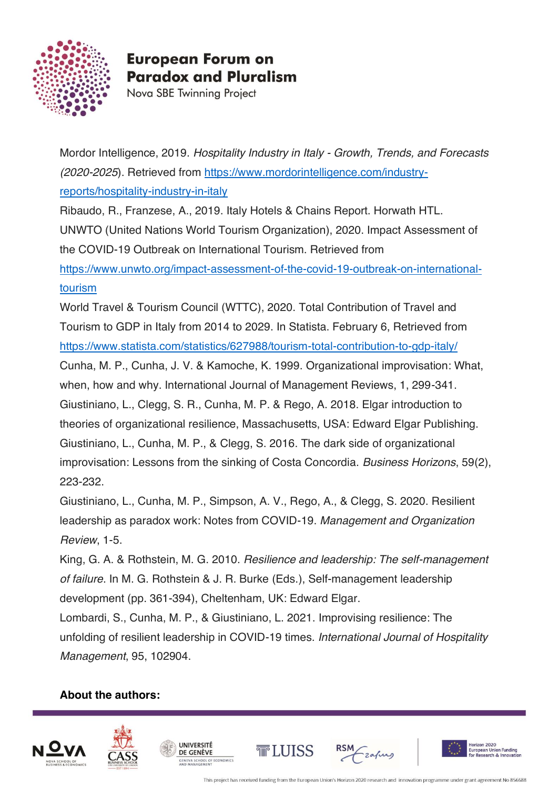

Nova SBE Twinning Project

Mordor Intelligence, 2019. *Hospitality Industry in Italy - Growth, Trends, and Forecasts (2020-2025*). Retrieved from [https://www.mordorintelligence.com/industry](https://www.mordorintelligence.com/industry-reports/hospitality-industry-in-italy)[reports/hospitality-industry-in-italy](https://www.mordorintelligence.com/industry-reports/hospitality-industry-in-italy)

Ribaudo, R., Franzese, A., 2019. Italy Hotels & Chains Report. Horwath HTL. UNWTO (United Nations World Tourism Organization), 2020. Impact Assessment of the COVID-19 Outbreak on International Tourism. Retrieved from [https://www.unwto.org/impact-assessment-of-the-covid-19-outbreak-on-international-](https://www.unwto.org/impact-assessment-of-the-covid-19-outbreak-on-international-tourism)

[tourism](https://www.unwto.org/impact-assessment-of-the-covid-19-outbreak-on-international-tourism)

World Travel & Tourism Council (WTTC), 2020. Total Contribution of Travel and Tourism to GDP in Italy from 2014 to 2029. In Statista. February 6, Retrieved from <https://www.statista.com/statistics/627988/tourism-total-contribution-to-gdp-italy/>

Cunha, M. P., Cunha, J. V. & Kamoche, K. 1999. Organizational improvisation: What, when, how and why. International Journal of Management Reviews, 1, 299-341. Giustiniano, L., Clegg, S. R., Cunha, M. P. & Rego, A. 2018. Elgar introduction to theories of organizational resilience, Massachusetts, USA: Edward Elgar Publishing. Giustiniano, L., Cunha, M. P., & Clegg, S. 2016. The dark side of organizational improvisation: Lessons from the sinking of Costa Concordia. *Business Horizons*, 59(2), 223-232.

Giustiniano, L., Cunha, M. P., Simpson, A. V., Rego, A., & Clegg, S. 2020. Resilient leadership as paradox work: Notes from COVID-19. *Management and Organization Review*, 1-5.

King, G. A. & Rothstein, M. G. 2010. *Resilience and leadership: The self-management of failure*. In M. G. Rothstein & J. R. Burke (Eds.), Self-management leadership development (pp. 361-394), Cheltenham, UK: Edward Elgar.

Lombardi, S., Cunha, M. P., & Giustiniano, L. 2021. Improvising resilience: The unfolding of resilient leadership in COVID-19 times. *International Journal of Hospitality Management*, 95, 102904.

#### **About the authors:**





**UNIVERSITÉ** 

DE GENÈVE A SCHOOL OF ECONOMICS





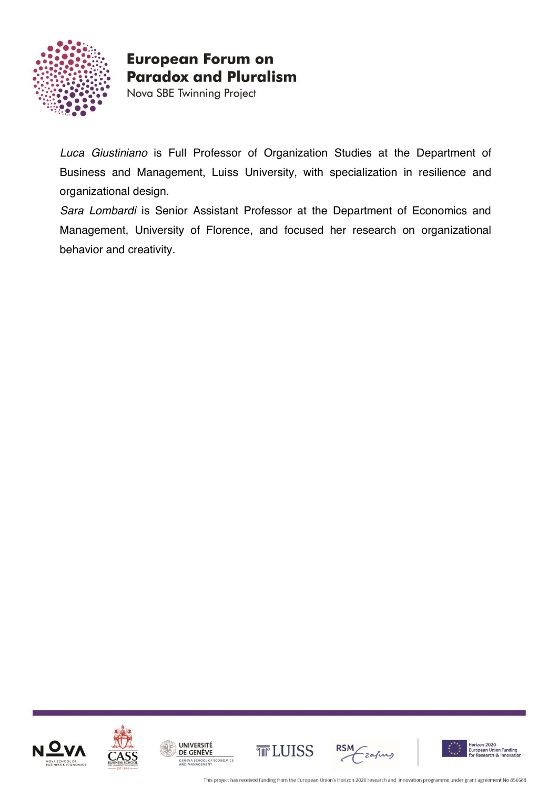

Nova SBE Twinning Project

*Luca Giustiniano* is Full Professor of Organization Studies at the Department of Business and Management, Luiss University, with specialization in resilience and organizational design.

*Sara Lombardi* is Senior Assistant Professor at the Department of Economics and Management, University of Florence, and focused her research on organizational behavior and creativity.